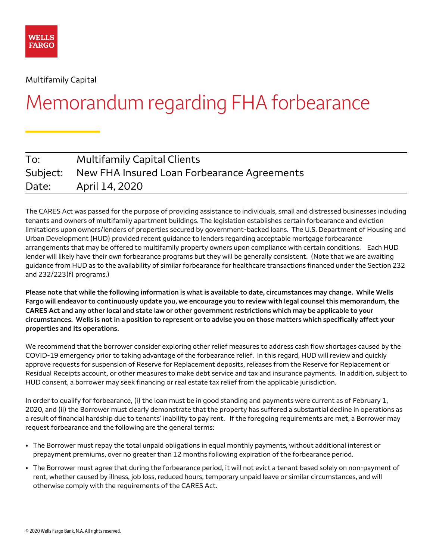

Multifamily Capital

## Memorandum regarding FHA forbearance

| To:   | <b>Multifamily Capital Clients</b>                   |
|-------|------------------------------------------------------|
|       | Subject: New FHA Insured Loan Forbearance Agreements |
| Date: | April 14, 2020                                       |

 arrangements that may be offered to multifamily property owners upon compliance with certain conditions. Each HUD  and 232/223(f) programs.) The CARES Act was passed for the purpose of providing assistance to individuals, small and distressed businesses including tenants and owners of multifamily apartment buildings. The legislation establishes certain forbearance and eviction limitations upon owners/lenders of properties secured by government-backed loans. The U.S. Department of Housing and Urban Development (HUD) provided recent guidance to lenders regarding acceptable mortgage forbearance lender will likely have their own forbearance programs but they will be generally consistent. (Note that we are awaiting guidance from HUD as to the availability of similar forbearance for healthcare transactions financed under the Section 232

 **Please note that while the following information is what is available to date, circumstances may change. While Wells CARES Act and any other local and state law or other government restrictions which may be applicable to your circumstances. Wells is not in a position to represent or to advise you on those matters which specifically affect your Fargo will endeavor to continuously update you, we encourage you to review with legal counsel this memorandum, the properties and its operations.** 

 COVID-19 emergency prior to taking advantage of the forbearance relief. In this regard, HUD will review and quickly We recommend that the borrower consider exploring other relief measures to address cash flow shortages caused by the approve requests for suspension of Reserve for Replacement deposits, releases from the Reserve for Replacement or Residual Receipts account, or other measures to make debt service and tax and insurance payments. In addition, subject to HUD consent, a borrower may seek financing or real estate tax relief from the applicable jurisdiction.

In order to qualify for forbearance, (i) the loan must be in good standing and payments were current as of February 1, 2020, and (ii) the Borrower must clearly demonstrate that the property has suffered a substantial decline in operations as a result of financial hardship due to tenants' inability to pay rent. If the foregoing requirements are met, a Borrower may request forbearance and the following are the general terms:

- prepayment premiums, over no greater than 12 months following expiration of the forbearance period. • The Borrower must repay the total unpaid obligations in equal monthly payments, without additional interest or
- The Borrower must agree that during the forbearance period, it will not evict a tenant based solely on non-payment of rent, whether caused by illness, job loss, reduced hours, temporary unpaid leave or similar circumstances, and will otherwise comply with the requirements of the CARES Act.